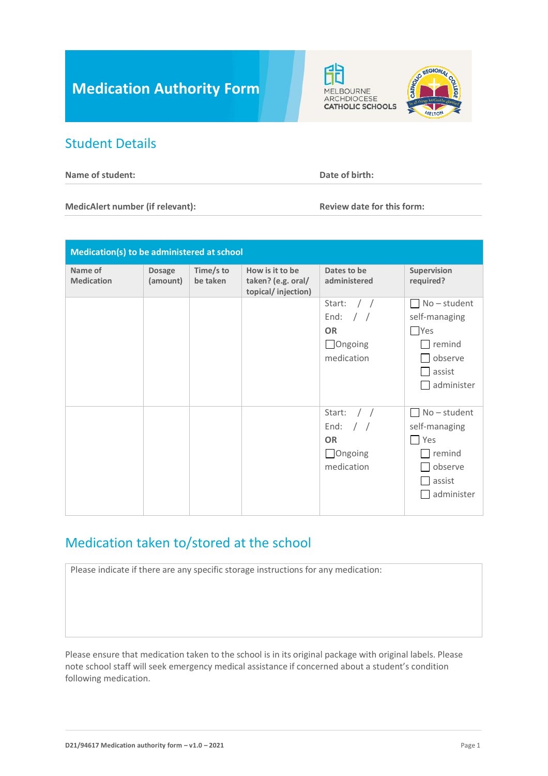# **Medication Authority Form**

#### Student Details

**Name of student: Date of birth: Date of birth:** 

fÈ

**MELBOURNE** ARCHDIOCESE **CATHOLIC SCHOOLS** 

**MedicAlert number (if relevant): Review date for this form:** 

**CGION** 

| Medication(s) to be administered at school |                           |                       |                                                             |                                                                                                                           |                                                                                                            |  |  |
|--------------------------------------------|---------------------------|-----------------------|-------------------------------------------------------------|---------------------------------------------------------------------------------------------------------------------------|------------------------------------------------------------------------------------------------------------|--|--|
| Name of<br><b>Medication</b>               | <b>Dosage</b><br>(amount) | Time/s to<br>be taken | How is it to be<br>taken? (e.g. oral/<br>topical/injection) | Dates to be<br>administered                                                                                               | Supervision<br>required?                                                                                   |  |  |
|                                            |                           |                       |                                                             | Start:<br>$\left  \right $<br>End:<br>$\left  \begin{array}{c} \end{array} \right $<br><b>OR</b><br>Ongoing<br>medication | $No - student$<br>$\mathsf{I}$<br>self-managing<br>$\Box$ Yes<br>remind<br>observe<br>assist<br>administer |  |  |
|                                            |                           |                       |                                                             | Start:<br>$\left  \right $<br>$\frac{1}{2}$<br>End:<br><b>OR</b><br>Ongoing<br>medication                                 | $No - student$<br>self-managing<br>Yes<br>$\Box$ remind<br>observe<br>$\Box$ assist<br>administer          |  |  |

## Medication taken to/stored at the school

Please indicate if there are any specific storage instructions for any medication:

Please ensure that medication taken to the school is in its original package with original labels. Please note school staff will seek emergency medical assistance if concerned about a student's condition following medication.